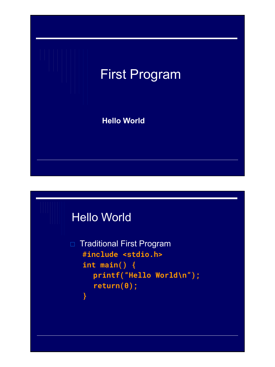

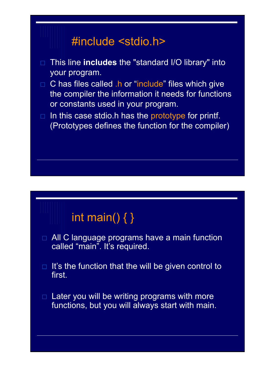## #include <stdio.h> □ This line **includes** the "standard I/O library" into your program.  $\Box$  C has files called .h or "include" files which give the compiler the information it needs for functions or constants used in your program.  $\Box$  In this case stdio.h has the prototype for printf. (Prototypes defines the function for the compiler)

## int main()  $\{ \}$

- □ All C language programs have a main function called "main". It's required.
- $\Box$  It's the function that the will be given control to first.
- $\Box$  Later you will be writing programs with more functions, but you will always start with main.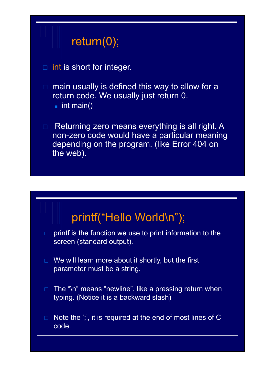## return(0); □ int is short for integer.  $\Box$  main usually is defined this way to allow for a return code. We usually just return 0.  $\blacksquare$  int main()  $\Box$  Returning zero means everything is all right. A non-zero code would have a particular meaning depending on the program. (like Error 404 on the web).



- $\Box$  print is the function we use to print information to the screen (standard output).
- $\Box$  We will learn more about it shortly, but the first parameter must be a string.
- □ The "\n" means "newline", like a pressing return when typing. (Notice it is a backward slash)
- $\Box$  Note the ';', it is required at the end of most lines of C code.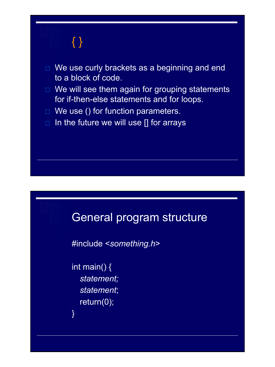